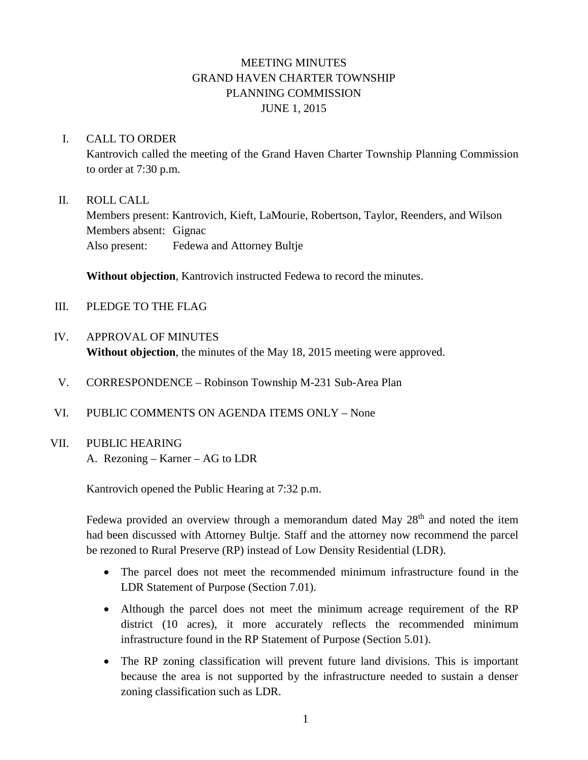# MEETING MINUTES GRAND HAVEN CHARTER TOWNSHIP PLANNING COMMISSION JUNE 1, 2015

#### I. CALL TO ORDER

Kantrovich called the meeting of the Grand Haven Charter Township Planning Commission to order at 7:30 p.m.

#### II. ROLL CALL

Members present: Kantrovich, Kieft, LaMourie, Robertson, Taylor, Reenders, and Wilson Members absent: Gignac Also present: Fedewa and Attorney Bultje

**Without objection**, Kantrovich instructed Fedewa to record the minutes.

- III. PLEDGE TO THE FLAG
- IV. APPROVAL OF MINUTES **Without objection**, the minutes of the May 18, 2015 meeting were approved.
- V. CORRESPONDENCE Robinson Township M-231 Sub-Area Plan
- VI. PUBLIC COMMENTS ON AGENDA ITEMS ONLY None

#### VII. PUBLIC HEARING

A. Rezoning – Karner – AG to LDR

Kantrovich opened the Public Hearing at 7:32 p.m.

Fedewa provided an overview through a memorandum dated May  $28<sup>th</sup>$  and noted the item had been discussed with Attorney Bultje. Staff and the attorney now recommend the parcel be rezoned to Rural Preserve (RP) instead of Low Density Residential (LDR).

- The parcel does not meet the recommended minimum infrastructure found in the LDR Statement of Purpose (Section 7.01).
- Although the parcel does not meet the minimum acreage requirement of the RP district (10 acres), it more accurately reflects the recommended minimum infrastructure found in the RP Statement of Purpose (Section 5.01).
- The RP zoning classification will prevent future land divisions. This is important because the area is not supported by the infrastructure needed to sustain a denser zoning classification such as LDR.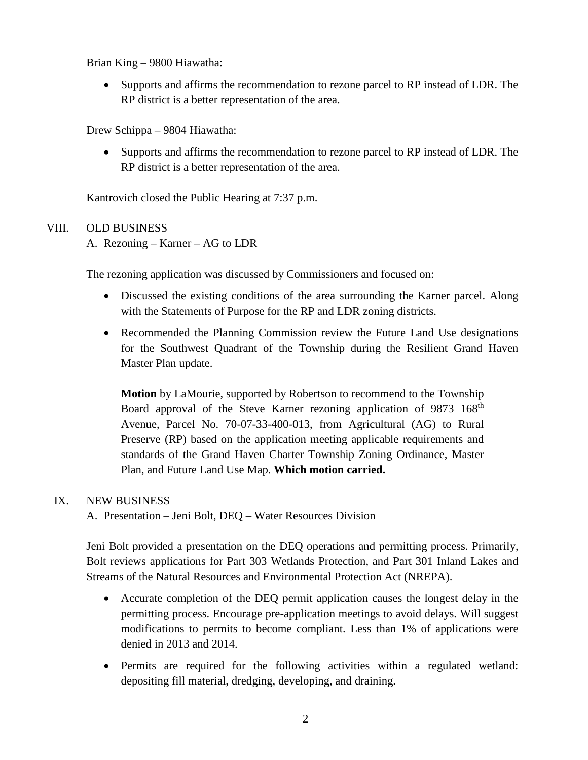Brian King – 9800 Hiawatha:

• Supports and affirms the recommendation to rezone parcel to RP instead of LDR. The RP district is a better representation of the area.

Drew Schippa – 9804 Hiawatha:

• Supports and affirms the recommendation to rezone parcel to RP instead of LDR. The RP district is a better representation of the area.

Kantrovich closed the Public Hearing at 7:37 p.m.

## VIII. OLD BUSINESS

A. Rezoning – Karner – AG to LDR

The rezoning application was discussed by Commissioners and focused on:

- Discussed the existing conditions of the area surrounding the Karner parcel. Along with the Statements of Purpose for the RP and LDR zoning districts.
- Recommended the Planning Commission review the Future Land Use designations for the Southwest Quadrant of the Township during the Resilient Grand Haven Master Plan update.

**Motion** by LaMourie, supported by Robertson to recommend to the Township Board approval of the Steve Karner rezoning application of 9873 168<sup>th</sup> Avenue, Parcel No. 70-07-33-400-013, from Agricultural (AG) to Rural Preserve (RP) based on the application meeting applicable requirements and standards of the Grand Haven Charter Township Zoning Ordinance, Master Plan, and Future Land Use Map. **Which motion carried.**

### IX. NEW BUSINESS

A. Presentation – Jeni Bolt, DEQ – Water Resources Division

Jeni Bolt provided a presentation on the DEQ operations and permitting process. Primarily, Bolt reviews applications for Part 303 Wetlands Protection, and Part 301 Inland Lakes and Streams of the Natural Resources and Environmental Protection Act (NREPA).

- Accurate completion of the DEQ permit application causes the longest delay in the permitting process. Encourage pre-application meetings to avoid delays. Will suggest modifications to permits to become compliant. Less than 1% of applications were denied in 2013 and 2014.
- Permits are required for the following activities within a regulated wetland: depositing fill material, dredging, developing, and draining.